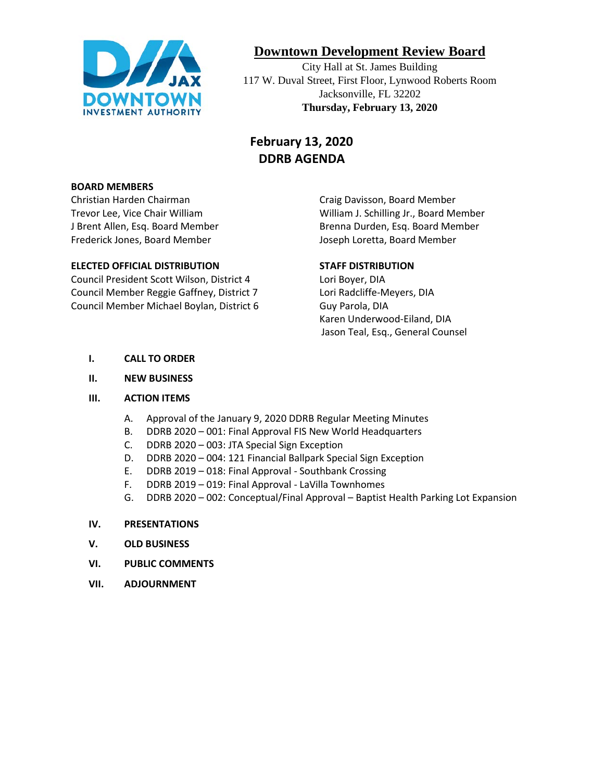

# **Downtown Development Review Board**

City Hall at St. James Building 117 W. Duval Street, First Floor, Lynwood Roberts Room Jacksonville, FL 32202 **Thursday, February 13, 2020**

# **February 13, 2020 DDRB AGENDA**

#### **BOARD MEMBERS**

Christian Harden Chairman Craig Davisson, Board Member Frederick Jones, Board Member **Joseph Loretta, Board Member** Joseph Loretta, Board Member

#### **ELECTED OFFICIAL DISTRIBUTION STAFF DISTRIBUTION**

Council President Scott Wilson, District 4 Lori Boyer, DIA Council Member Reggie Gaffney, District 7 Lori Radcliffe-Meyers, DIA Council Member Michael Boylan, District 6 Guy Parola, DIA

Trevor Lee, Vice Chair William William J. Schilling Jr., Board Member J Brent Allen, Esq. Board Member **Brenna Durden, Esq. Board Member** 

Karen Underwood-Eiland, DIA Jason Teal, Esq., General Counsel

#### **I. CALL TO ORDER**

#### **II. NEW BUSINESS**

#### **III. ACTION ITEMS**

- A. Approval of the January 9, 2020 DDRB Regular Meeting Minutes
- B. DDRB 2020 001: Final Approval FIS New World Headquarters
- C. DDRB 2020 003: JTA Special Sign Exception
- D. DDRB 2020 004: 121 Financial Ballpark Special Sign Exception
- E. DDRB 2019 018: Final Approval Southbank Crossing
- F. DDRB 2019 019: Final Approval LaVilla Townhomes
- G. DDRB 2020 002: Conceptual/Final Approval Baptist Health Parking Lot Expansion

#### **IV. PRESENTATIONS**

- **V. OLD BUSINESS**
- **VI. PUBLIC COMMENTS**
- **VII. ADJOURNMENT**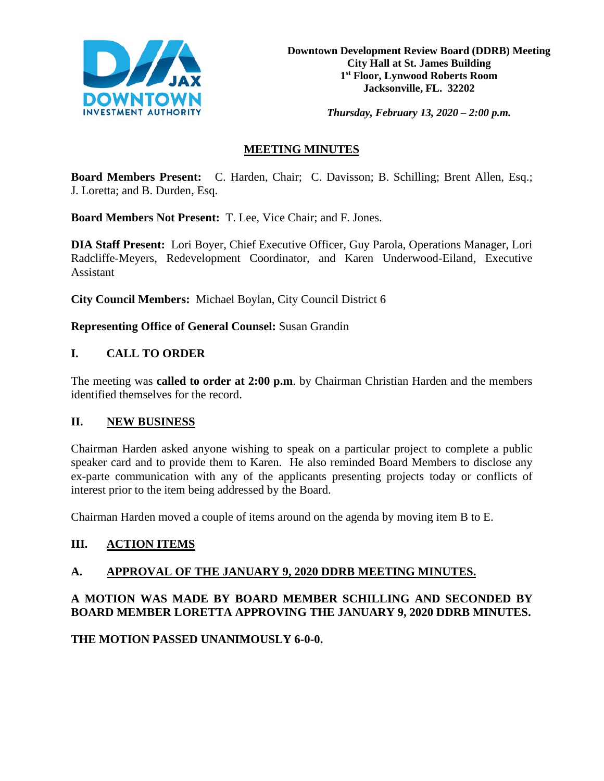

*Thursday, February 13, 2020 – 2:00 p.m.* 

## **MEETING MINUTES**

**Board Members Present:** C. Harden, Chair; C. Davisson; B. Schilling; Brent Allen, Esq.; J. Loretta; and B. Durden, Esq.

**Board Members Not Present:** T. Lee, Vice Chair; and F. Jones.

**DIA Staff Present:** Lori Boyer, Chief Executive Officer, Guy Parola, Operations Manager, Lori Radcliffe-Meyers, Redevelopment Coordinator, and Karen Underwood-Eiland, Executive Assistant

**City Council Members:** Michael Boylan, City Council District 6

**Representing Office of General Counsel:** Susan Grandin

## **I. CALL TO ORDER**

The meeting was **called to order at 2:00 p.m**. by Chairman Christian Harden and the members identified themselves for the record.

#### **II. NEW BUSINESS**

Chairman Harden asked anyone wishing to speak on a particular project to complete a public speaker card and to provide them to Karen. He also reminded Board Members to disclose any ex-parte communication with any of the applicants presenting projects today or conflicts of interest prior to the item being addressed by the Board.

Chairman Harden moved a couple of items around on the agenda by moving item B to E.

## **III. ACTION ITEMS**

## **A. APPROVAL OF THE JANUARY 9, 2020 DDRB MEETING MINUTES.**

## **A MOTION WAS MADE BY BOARD MEMBER SCHILLING AND SECONDED BY BOARD MEMBER LORETTA APPROVING THE JANUARY 9, 2020 DDRB MINUTES.**

**THE MOTION PASSED UNANIMOUSLY 6-0-0.**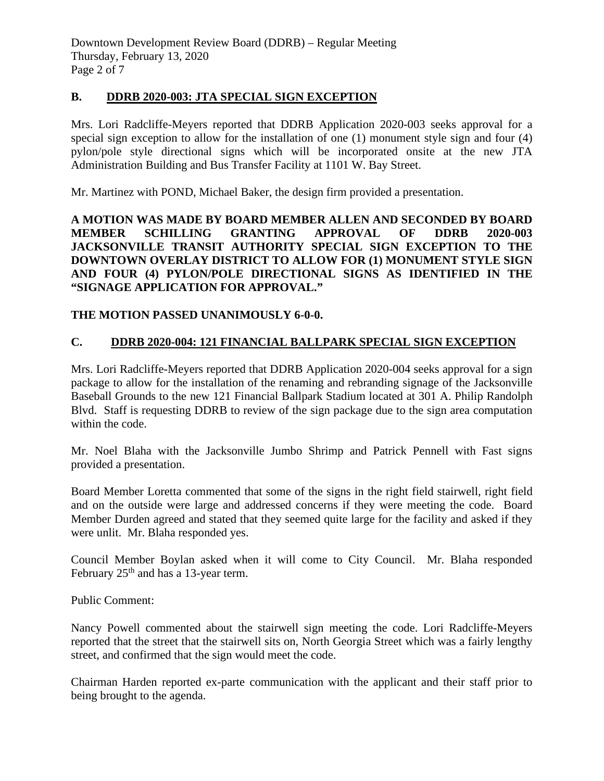#### **B. DDRB 2020-003: JTA SPECIAL SIGN EXCEPTION**

Mrs. Lori Radcliffe-Meyers reported that DDRB Application 2020-003 seeks approval for a special sign exception to allow for the installation of one (1) monument style sign and four (4) pylon/pole style directional signs which will be incorporated onsite at the new JTA Administration Building and Bus Transfer Facility at 1101 W. Bay Street.

Mr. Martinez with POND, Michael Baker, the design firm provided a presentation.

**A MOTION WAS MADE BY BOARD MEMBER ALLEN AND SECONDED BY BOARD MEMBER SCHILLING GRANTING APPROVAL OF DDRB 2020-003 JACKSONVILLE TRANSIT AUTHORITY SPECIAL SIGN EXCEPTION TO THE DOWNTOWN OVERLAY DISTRICT TO ALLOW FOR (1) MONUMENT STYLE SIGN AND FOUR (4) PYLON/POLE DIRECTIONAL SIGNS AS IDENTIFIED IN THE "SIGNAGE APPLICATION FOR APPROVAL."** 

## **THE MOTION PASSED UNANIMOUSLY 6-0-0.**

## **C. DDRB 2020-004: 121 FINANCIAL BALLPARK SPECIAL SIGN EXCEPTION**

Mrs. Lori Radcliffe-Meyers reported that DDRB Application 2020-004 seeks approval for a sign package to allow for the installation of the renaming and rebranding signage of the Jacksonville Baseball Grounds to the new 121 Financial Ballpark Stadium located at 301 A. Philip Randolph Blvd. Staff is requesting DDRB to review of the sign package due to the sign area computation within the code.

Mr. Noel Blaha with the Jacksonville Jumbo Shrimp and Patrick Pennell with Fast signs provided a presentation.

Board Member Loretta commented that some of the signs in the right field stairwell, right field and on the outside were large and addressed concerns if they were meeting the code. Board Member Durden agreed and stated that they seemed quite large for the facility and asked if they were unlit. Mr. Blaha responded yes.

Council Member Boylan asked when it will come to City Council. Mr. Blaha responded February  $25<sup>th</sup>$  and has a 13-year term.

Public Comment:

Nancy Powell commented about the stairwell sign meeting the code. Lori Radcliffe-Meyers reported that the street that the stairwell sits on, North Georgia Street which was a fairly lengthy street, and confirmed that the sign would meet the code.

Chairman Harden reported ex-parte communication with the applicant and their staff prior to being brought to the agenda.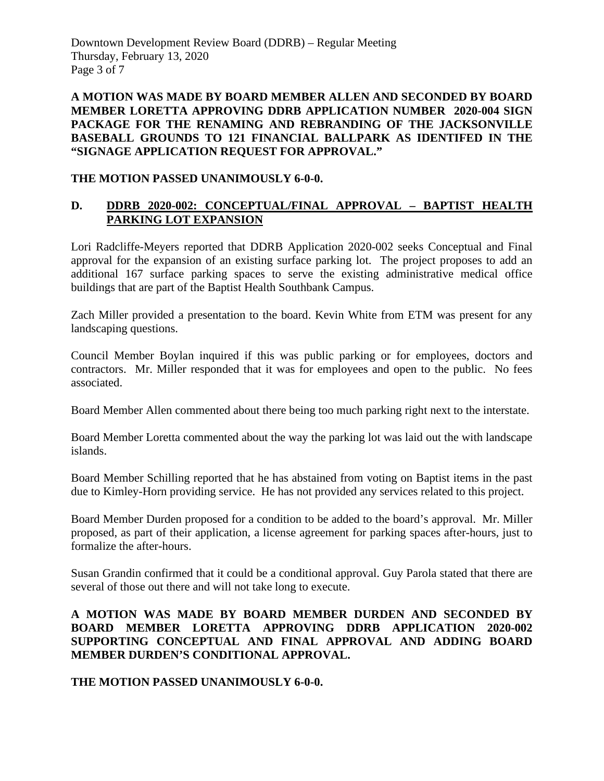Downtown Development Review Board (DDRB) – Regular Meeting Thursday, February 13, 2020 Page 3 of 7

**A MOTION WAS MADE BY BOARD MEMBER ALLEN AND SECONDED BY BOARD MEMBER LORETTA APPROVING DDRB APPLICATION NUMBER 2020-004 SIGN PACKAGE FOR THE RENAMING AND REBRANDING OF THE JACKSONVILLE BASEBALL GROUNDS TO 121 FINANCIAL BALLPARK AS IDENTIFED IN THE "SIGNAGE APPLICATION REQUEST FOR APPROVAL."**

#### **THE MOTION PASSED UNANIMOUSLY 6-0-0.**

## **D. DDRB 2020-002: CONCEPTUAL/FINAL APPROVAL – BAPTIST HEALTH PARKING LOT EXPANSION**

Lori Radcliffe-Meyers reported that DDRB Application 2020-002 seeks Conceptual and Final approval for the expansion of an existing surface parking lot. The project proposes to add an additional 167 surface parking spaces to serve the existing administrative medical office buildings that are part of the Baptist Health Southbank Campus.

Zach Miller provided a presentation to the board. Kevin White from ETM was present for any landscaping questions.

Council Member Boylan inquired if this was public parking or for employees, doctors and contractors. Mr. Miller responded that it was for employees and open to the public. No fees associated.

Board Member Allen commented about there being too much parking right next to the interstate.

Board Member Loretta commented about the way the parking lot was laid out the with landscape islands.

Board Member Schilling reported that he has abstained from voting on Baptist items in the past due to Kimley-Horn providing service. He has not provided any services related to this project.

Board Member Durden proposed for a condition to be added to the board's approval. Mr. Miller proposed, as part of their application, a license agreement for parking spaces after-hours, just to formalize the after-hours.

Susan Grandin confirmed that it could be a conditional approval. Guy Parola stated that there are several of those out there and will not take long to execute.

#### **A MOTION WAS MADE BY BOARD MEMBER DURDEN AND SECONDED BY BOARD MEMBER LORETTA APPROVING DDRB APPLICATION 2020-002 SUPPORTING CONCEPTUAL AND FINAL APPROVAL AND ADDING BOARD MEMBER DURDEN'S CONDITIONAL APPROVAL.**

## **THE MOTION PASSED UNANIMOUSLY 6-0-0.**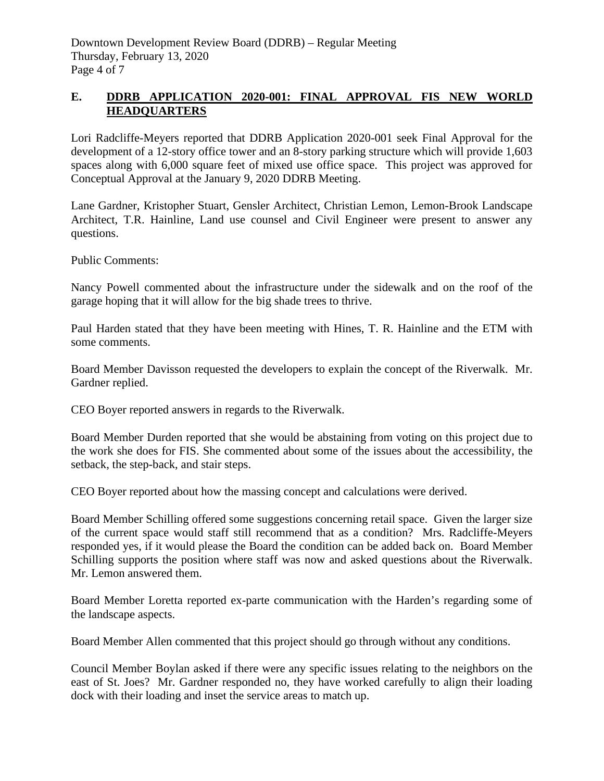## **E. DDRB APPLICATION 2020-001: FINAL APPROVAL FIS NEW WORLD HEADQUARTERS**

Lori Radcliffe-Meyers reported that DDRB Application 2020-001 seek Final Approval for the development of a 12-story office tower and an 8-story parking structure which will provide 1,603 spaces along with 6,000 square feet of mixed use office space. This project was approved for Conceptual Approval at the January 9, 2020 DDRB Meeting.

Lane Gardner, Kristopher Stuart, Gensler Architect, Christian Lemon, Lemon-Brook Landscape Architect, T.R. Hainline, Land use counsel and Civil Engineer were present to answer any questions.

Public Comments:

Nancy Powell commented about the infrastructure under the sidewalk and on the roof of the garage hoping that it will allow for the big shade trees to thrive.

Paul Harden stated that they have been meeting with Hines, T. R. Hainline and the ETM with some comments.

Board Member Davisson requested the developers to explain the concept of the Riverwalk. Mr. Gardner replied.

CEO Boyer reported answers in regards to the Riverwalk.

Board Member Durden reported that she would be abstaining from voting on this project due to the work she does for FIS. She commented about some of the issues about the accessibility, the setback, the step-back, and stair steps.

CEO Boyer reported about how the massing concept and calculations were derived.

Board Member Schilling offered some suggestions concerning retail space. Given the larger size of the current space would staff still recommend that as a condition? Mrs. Radcliffe-Meyers responded yes, if it would please the Board the condition can be added back on. Board Member Schilling supports the position where staff was now and asked questions about the Riverwalk. Mr. Lemon answered them.

Board Member Loretta reported ex-parte communication with the Harden's regarding some of the landscape aspects.

Board Member Allen commented that this project should go through without any conditions.

Council Member Boylan asked if there were any specific issues relating to the neighbors on the east of St. Joes? Mr. Gardner responded no, they have worked carefully to align their loading dock with their loading and inset the service areas to match up.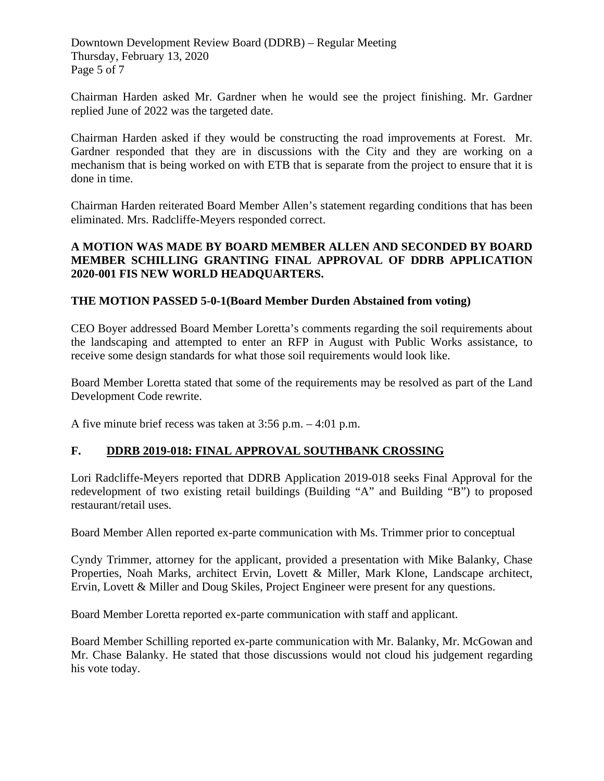Downtown Development Review Board (DDRB) – Regular Meeting Thursday, February 13, 2020 Page 5 of 7

Chairman Harden asked Mr. Gardner when he would see the project finishing. Mr. Gardner replied June of 2022 was the targeted date.

Chairman Harden asked if they would be constructing the road improvements at Forest. Mr. Gardner responded that they are in discussions with the City and they are working on a mechanism that is being worked on with ETB that is separate from the project to ensure that it is done in time.

Chairman Harden reiterated Board Member Allen's statement regarding conditions that has been eliminated. Mrs. Radcliffe-Meyers responded correct.

#### **A MOTION WAS MADE BY BOARD MEMBER ALLEN AND SECONDED BY BOARD MEMBER SCHILLING GRANTING FINAL APPROVAL OF DDRB APPLICATION 2020-001 FIS NEW WORLD HEADQUARTERS.**

#### **THE MOTION PASSED 5-0-1(Board Member Durden Abstained from voting)**

CEO Boyer addressed Board Member Loretta's comments regarding the soil requirements about the landscaping and attempted to enter an RFP in August with Public Works assistance, to receive some design standards for what those soil requirements would look like.

Board Member Loretta stated that some of the requirements may be resolved as part of the Land Development Code rewrite.

A five minute brief recess was taken at 3:56 p.m. – 4:01 p.m.

#### **F. DDRB 2019-018: FINAL APPROVAL SOUTHBANK CROSSING**

Lori Radcliffe-Meyers reported that DDRB Application 2019-018 seeks Final Approval for the redevelopment of two existing retail buildings (Building "A" and Building "B") to proposed restaurant/retail uses.

Board Member Allen reported ex-parte communication with Ms. Trimmer prior to conceptual

Cyndy Trimmer, attorney for the applicant, provided a presentation with Mike Balanky, Chase Properties, Noah Marks, architect Ervin, Lovett & Miller, Mark Klone, Landscape architect, Ervin, Lovett & Miller and Doug Skiles, Project Engineer were present for any questions.

Board Member Loretta reported ex-parte communication with staff and applicant.

Board Member Schilling reported ex-parte communication with Mr. Balanky, Mr. McGowan and Mr. Chase Balanky. He stated that those discussions would not cloud his judgement regarding his vote today.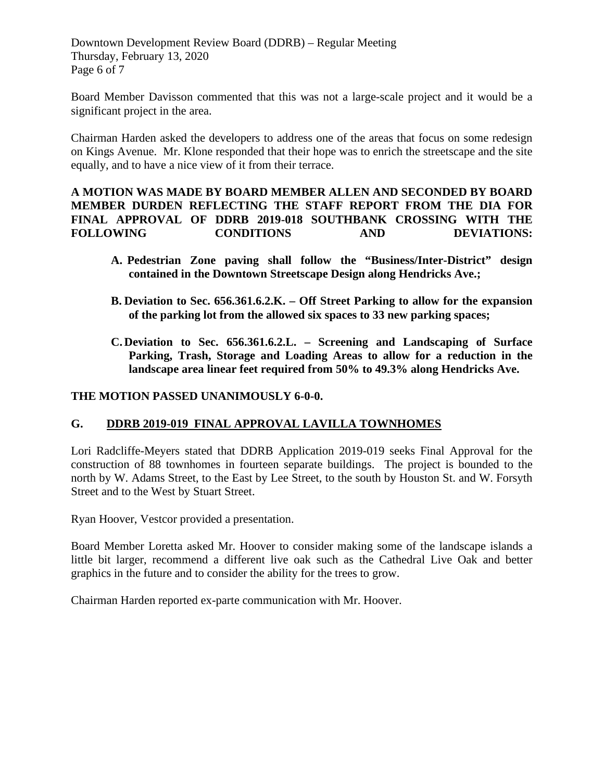Downtown Development Review Board (DDRB) – Regular Meeting Thursday, February 13, 2020 Page 6 of 7

Board Member Davisson commented that this was not a large-scale project and it would be a significant project in the area.

Chairman Harden asked the developers to address one of the areas that focus on some redesign on Kings Avenue. Mr. Klone responded that their hope was to enrich the streetscape and the site equally, and to have a nice view of it from their terrace.

#### **A MOTION WAS MADE BY BOARD MEMBER ALLEN AND SECONDED BY BOARD MEMBER DURDEN REFLECTING THE STAFF REPORT FROM THE DIA FOR FINAL APPROVAL OF DDRB 2019-018 SOUTHBANK CROSSING WITH THE FOLLOWING CONDITIONS AND DEVIATIONS:**

- **A. Pedestrian Zone paving shall follow the "Business/Inter-District" design contained in the Downtown Streetscape Design along Hendricks Ave.;**
- **B. Deviation to Sec. 656.361.6.2.K. – Off Street Parking to allow for the expansion of the parking lot from the allowed six spaces to 33 new parking spaces;**
- **C. Deviation to Sec. 656.361.6.2.L. – Screening and Landscaping of Surface Parking, Trash, Storage and Loading Areas to allow for a reduction in the landscape area linear feet required from 50% to 49.3% along Hendricks Ave.**

#### **THE MOTION PASSED UNANIMOUSLY 6-0-0.**

## **G. DDRB 2019-019 FINAL APPROVAL LAVILLA TOWNHOMES**

Lori Radcliffe-Meyers stated that DDRB Application 2019-019 seeks Final Approval for the construction of 88 townhomes in fourteen separate buildings. The project is bounded to the north by W. Adams Street, to the East by Lee Street, to the south by Houston St. and W. Forsyth Street and to the West by Stuart Street.

Ryan Hoover, Vestcor provided a presentation.

Board Member Loretta asked Mr. Hoover to consider making some of the landscape islands a little bit larger, recommend a different live oak such as the Cathedral Live Oak and better graphics in the future and to consider the ability for the trees to grow.

Chairman Harden reported ex-parte communication with Mr. Hoover.